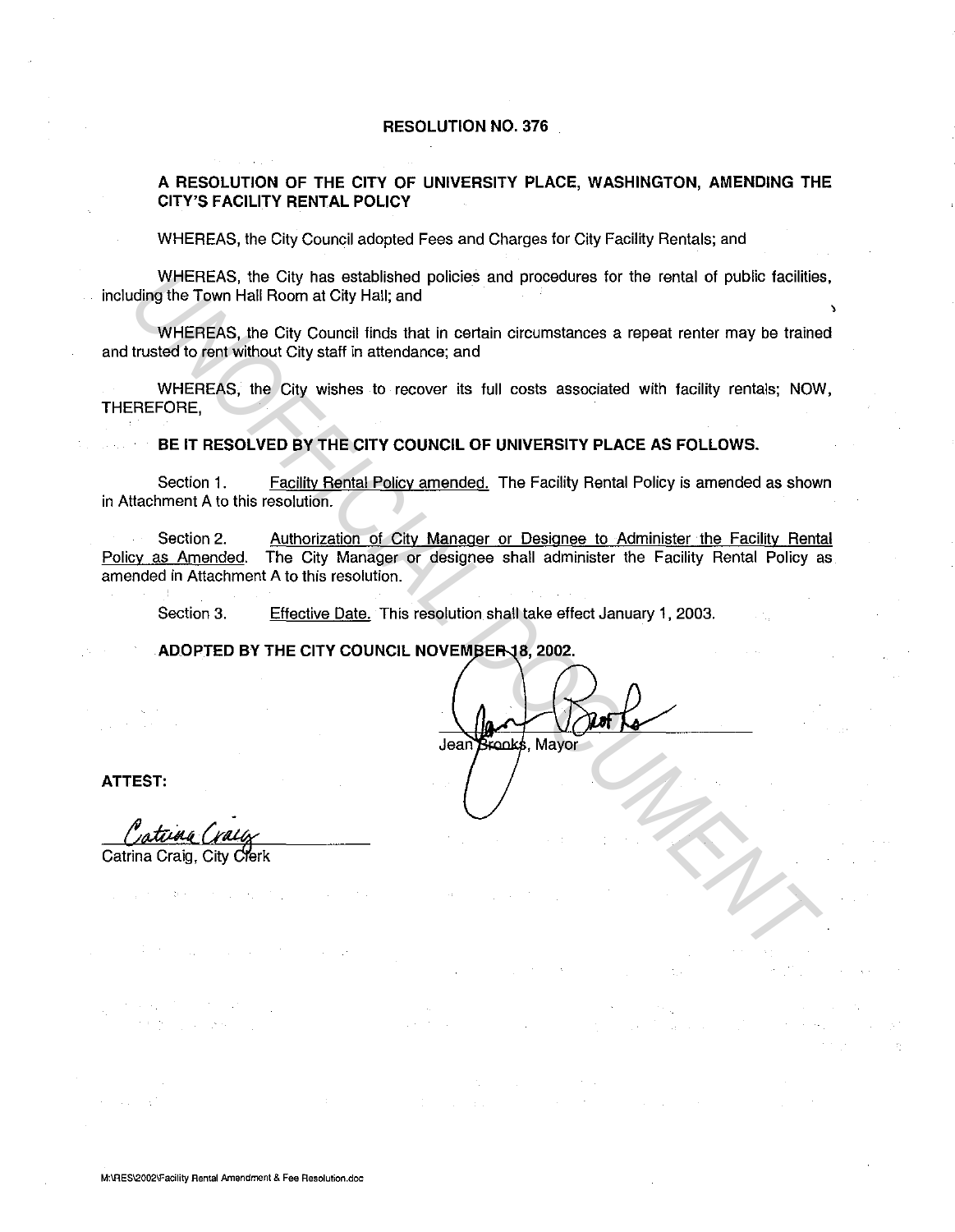#### **RESOLUTION NO. 376**

## **A RESOLUTION OF THE CITY OF UNIVERSITY PLACE, WASHINGTON, AMENDING THE CITY'S FACILITY RENTAL POLICY**

WHEREAS, the City Council adopted Fees and Charges for City Facility Rentals; and

WHEREAS, the City has established policies and procedures for the rental of public facilities, including the Town Hall Room at City Hall; and

' WHEREAS, the City Council finds that in certain circumstances a repeat renter may be trained and trusted to rent without City staff in attendance; and

WHEREAS, the City wishes to recover its full costs associated with facility rentals; NOW, THEREFORE,

**BE IT RESOLVED BY THE CITY COUNCIL OF UNIVERSITY PLACE AS FOLLOWS.** 

Section 1. Facility Rental Policy amended. The Facility Rental Policy is amended as shown in Attachment A to this resolution.

Section 2. Authorization of City Manager or Designee to Administer the Facility Rental Policy as Amended. The City Manager or designee shall administer the Facility Rental Policy as amended in Attachment A to this resolution. WHEREAS, the City has established policies and procedures for the rontal of public facilities<br>uding the Town Hall Room at City Hall, and<br>WHEREAS, the City Council linds that in certain circumstances a repeat renter may be

Section 3. Effective Date. This resolution shall take effect January 1, 2003.

**ADOPTED BY THE CITY COUNCIL NOVEMBER 18, 2002.** 

**ATTEST:** 

Catina Crai

Catrina Craig, City Clerk

经实验 医血管下颌

 $\alpha_{\rm{max}}$  ,  $\alpha_{\rm{max}}$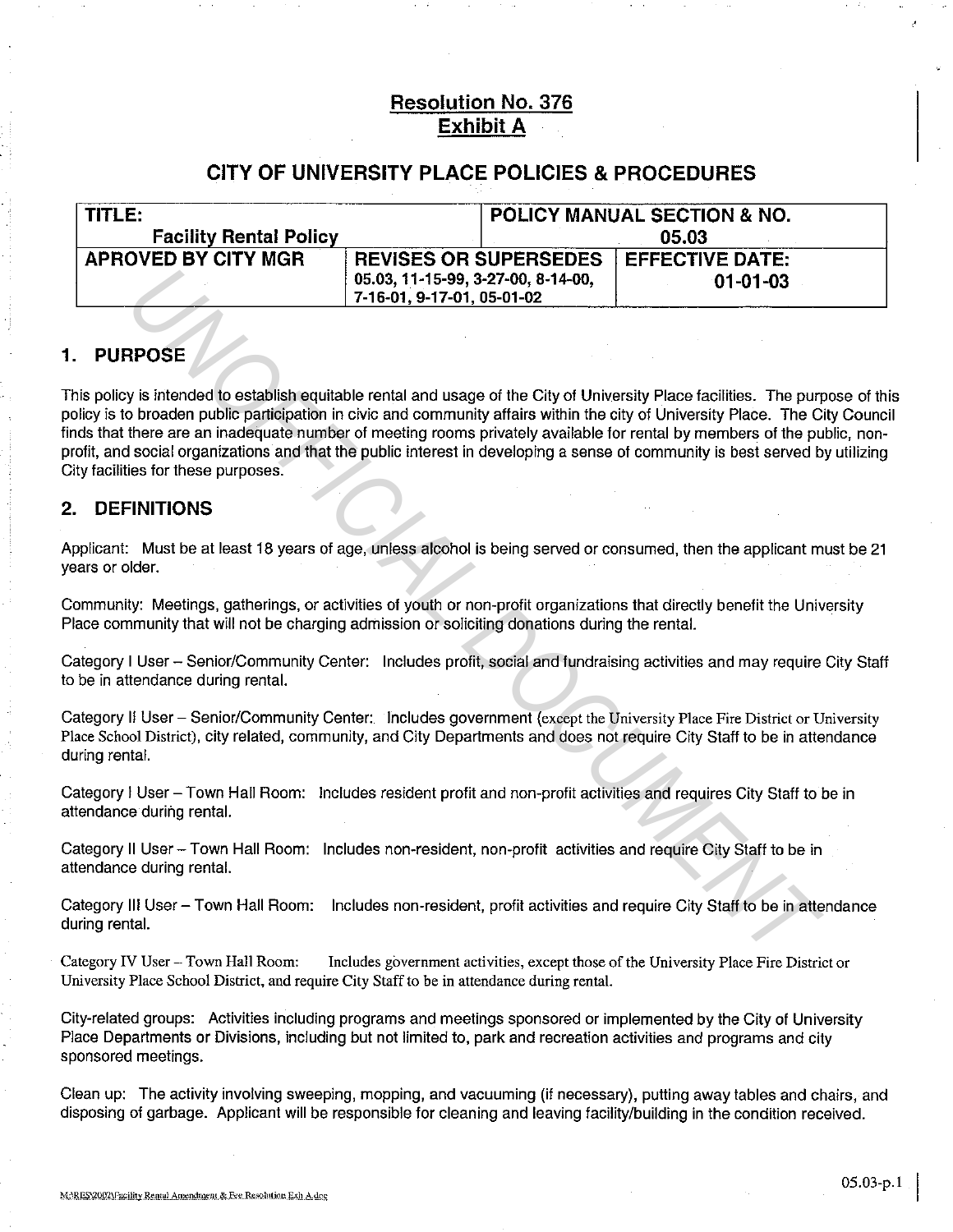# **Resolution No. 376 Exhibit A**

# **CITY OF UNIVERSITY PLACE POLICIES & PROCEDURES**

| TITLE:                        |                                      | <b>POLICY MANUAL SECTION &amp; NO.</b> |
|-------------------------------|--------------------------------------|----------------------------------------|
| <b>Facility Rental Policy</b> |                                      | 05.03                                  |
| APROVED BY CITY MGR           | <b>REVISES OR SUPERSEDES</b>         | <b>EFFECTIVE DATE:</b>                 |
|                               | $05.03, 11-15-99, 3-27-00, 8-14-00,$ | $01-01-03$                             |
|                               | 7-16-01, 9-17-01, 05-01-02           |                                        |

# **1. PURPOSE**

This policy is intended to establish equitable rental and usage of the City of University Place facilities. The purpose of this policy is to broaden public participation in civic and community affairs within the city of University Place. The City Council finds that there are an inadequate number of meeting rooms privately available for rental by members of the public, nonprofit, and social organizations and that the public interest in developing a sense of community is best served by utilizing City facilities for these purposes. **POSE**<br> **UNITED 15-03, 37-16-01, 9-17-01, 05-01-02**<br> **POSE**<br> **POSE**<br> **POSE**<br> **POSE**<br> **POSE**<br> **POSE**<br> **POSE**<br> **POSE**<br> **POSE**<br> **POSE**<br> **POSE**<br> **POSE**<br> **POSE**<br> **POSE**<br> **POSE**<br> **POSE**<br> **POSE**<br> **POSE**<br> **POSE**<br> **POSE**<br> **POSE**<br>

## **2. DEFINITIONS**

Applicant: Must be at least 18 years of age, unless alcohol is being served or consumed, then the applicant must be 21 years or older.

Community: Meetings, gatherings, or activities of youth or non-profit organizations that directly benefit the University Place community that will not be charging admission or soliciting donations during the rental.

Category I User - Senior/Community Center: Includes profit, social and fundraising activities and may require City Staff to be in attendance during rental.

Category II User - Senior/Community Center: Includes government (except the University Place Fire District or University Place School District), city related, community, and City Departments and does not require City Staff to be in attendance during rental.

Category I User- Town Hall Room: Includes resident profit and non-profit activities and requires City Staff to be in attendance during rental.

Category II User- Town Hall Room: Includes non-resident, non-profit activities and require City Staff to be in attendance during rental.

Category Ill User- Town Hall Room: Includes non-resident, profit activities and require City Staff to be in attendance during rental.

Category IV User- Town Hall Room: Includes government activities, except those of the University Place Fire District or University Place School District, and require City Staff to be in attendance during rental.

City-related groups: Activities including programs and meetings sponsored or implemented by the City of University Place Departments or Divisions, including but not limited to, park and recreation activities and programs and city sponsored meetings.

Clean up: The activity involving sweeping, mopping, and vacuuming (if necessary}, putting away tables and chairs, and disposing of garbage. Applicant will be responsible for cleaning and leaving facility/building in the condition received.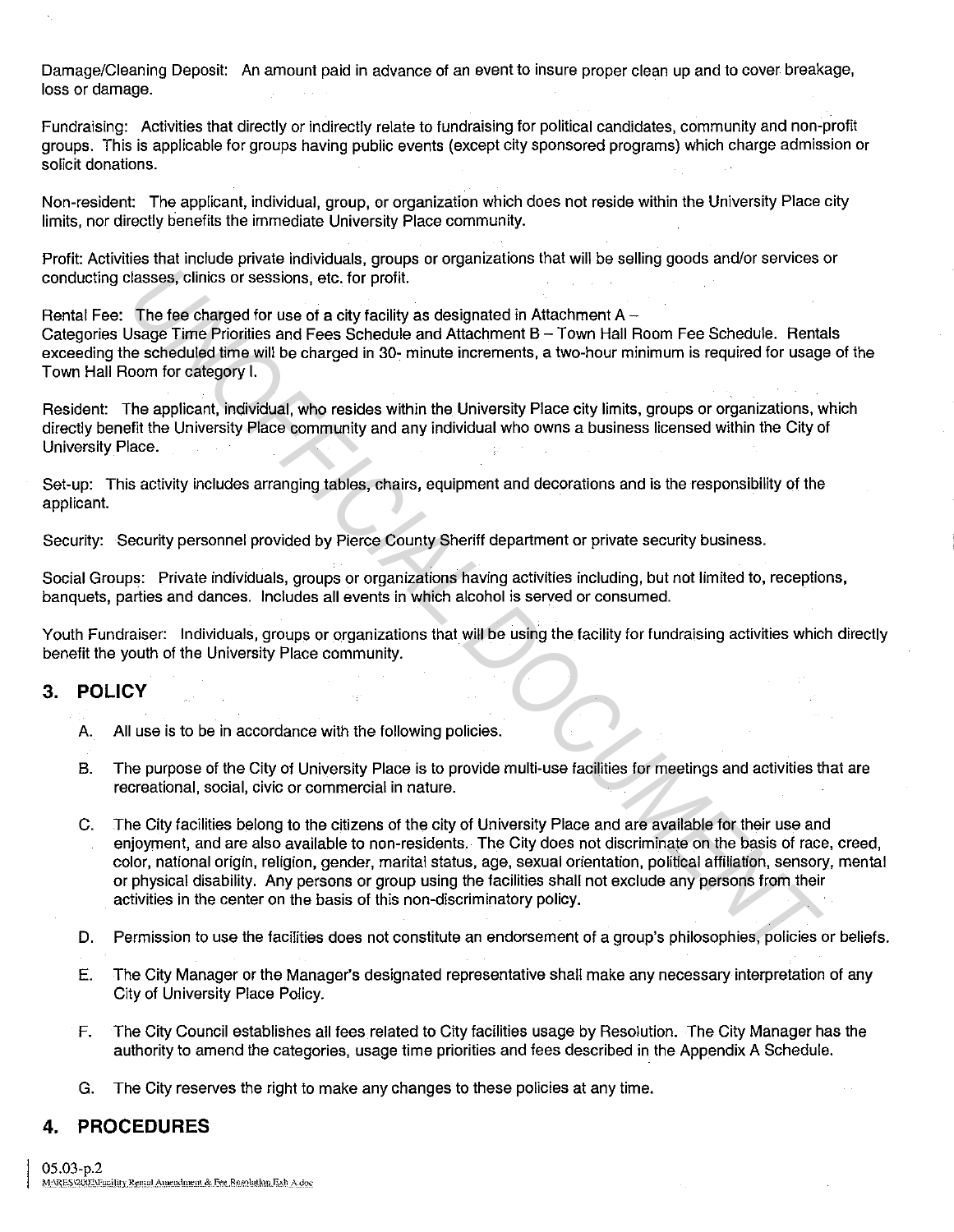Damage/Cleaning Deposit: An amount paid in advance of an event to insure proper clean up and to cover breakage, loss or damage.

Fundraising: Activities that directly or indirectly relate to fundraising for political candidates, community and non-profit groups. This is applicable for groups having public events (except city sponsored programs) which charge admission or solicit donations.

Non-resident: The applicant, individual, group, or organization which does not reside within the University Place city limits, nor directly benefits the immediate University Place community.

Profit: Activities that include private individuals, groups or organizations that will be selling goods and/or services or conducting classes, clinics or sessions, etc. for profit.

Rental Fee: The fee charged for use of a city facility as designated in Attachment  $A -$ Categories Usage Time Priorities and Fees Schedule and Attachment B - Town Hall Room Fee Schedule. Rentals exceeding the scheduled time will be charged in 30- minute increments, a two-hour minimum is required for usage of the Town Hall Room for category I.

Resident: The applicant, individual, who resides within the University Place city limits, groups or organizations, which directly benefit the University Place community and any individual who owns a business licensed within the City of University Place.

Set-up: This activity includes arranging tables, chairs, equipment and decorations and is the responsibility of the applicant.

Security: Security personnel provided by Pierce County Sheriff department or private security business.

Social Groups: Private individuals, groups or organizations having activities including, but not limited to, receptions, banquets, parties and dances. Includes all events in which alcohol is served or consumed.

Youth Fundraiser: Individuals, groups or organizations that will be using the facility for fundraising activities which directly benefit the youth of the University Place community.

## 3. **POLICY**

- A. All use is to be in accordance with the following policies.
- B. The purpose of the City of University Place is to provide multi-use facilities for meetings and activities that are recreational, social, civic or commercial in nature.
- C. The City facilities belong to the citizens of the city of University Place and are available for their use and enjoyment, and are also available to non-residents. The City does not discriminate on the basis of race, creed, color, national origin, religion, gender, marital status, age, sexual orientation, political affiliation, sensory, mental or physical disability. Any persons or group using the facilities shall not exclude any persons from their activities in the center on the basis of this non-discriminatory policy. Ilasses, clinics or seasions, etc. for profit.<br> **The las charged for use of a ctyl paility as designated in Attachment A –<br>
Jost Dissipe Time Priorities and Feas Schedule and Attachment B – Town Hall Room Fee Schedule. Ren**
- D. Permission to use the facilities does not constitute an endorsement of a group's philosophies, policies or beliefs.
- E. The City Manager or the Manager's designated representative shall make any necessary interpretation of any City of University Place Policy.
- F. The City Council establishes all fees related to City facilities usage by Resolution. The City Manager has the authority to amend the categories, usage time priorities and fees described in the Appendix A Schedule.
- G. The City reserves the right to make any changes to these policies at any time.

## **4. PROCEDURES**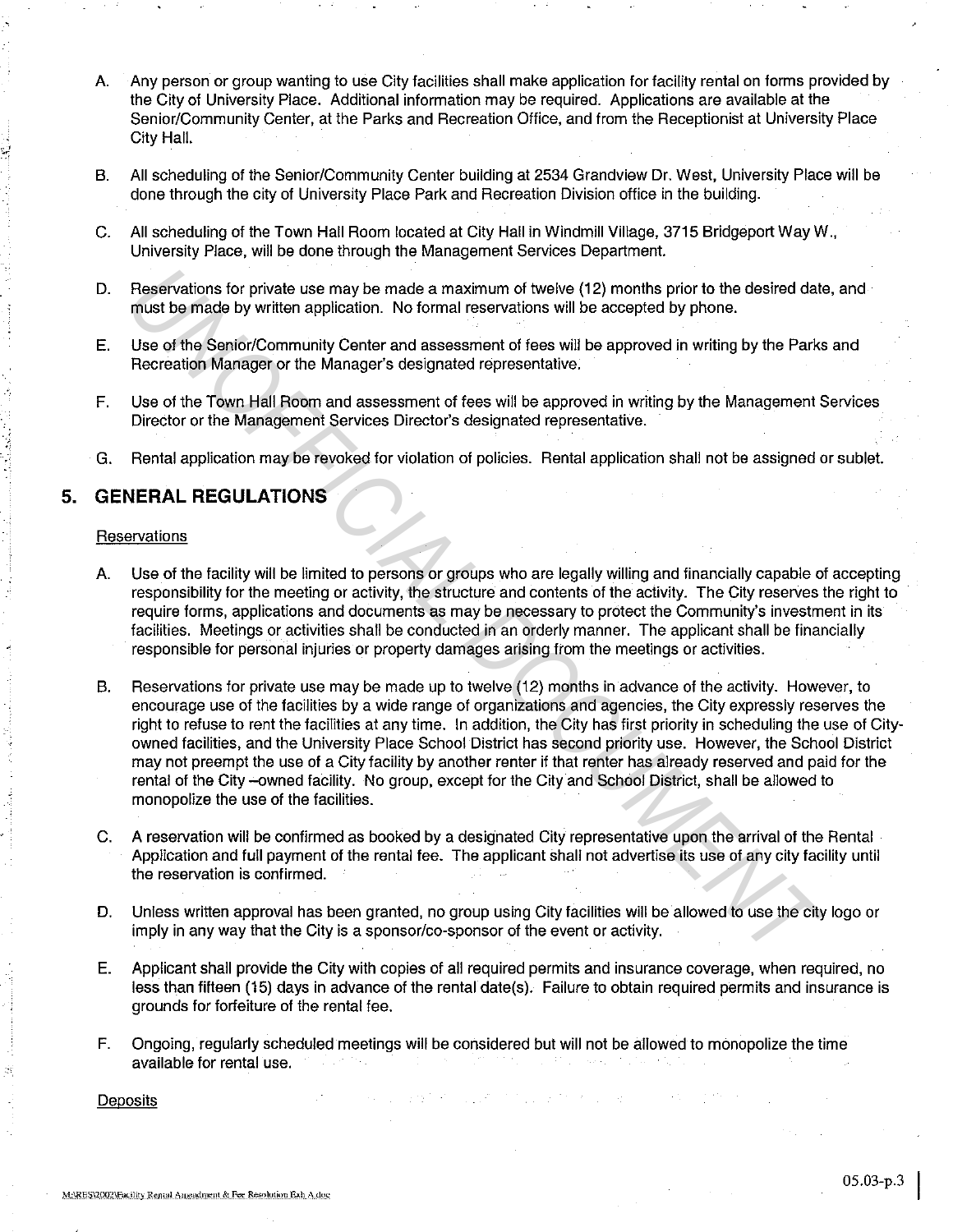- A. Any person or group wanting to use City facilities shall make application for facility rental on forms provided by the City of University Place. Additional information may be required. Applications are available at the Senior/Community Center, at the Parks and Recreation Office, and from the Receptionist at University Place City Hall.
- B. All scheduling of the Senior/Community Center building at 2534 Grandview Dr. West, University Place will be done through the city of University Place Park and Recreation Division office in the building.
- c. All scheduling of the Town Hall Room located at City Hall in Windmill Village, 3715 Bridgeport Way W., University Place, will be done through the Management Services Department.
- D. Reservations for private use may be made a maximum of twelve (12) months prior to the desired date, and must be made by written application. No formal reservations will be accepted by phone.
- E. Use of the Senior/Community Center and assessment of fees will be approved in writing by the Parks and Recreation Manager or the Manager's designated representative.
- F. Use of the Town Hall Room and assessment of fees will be approved in writing by the Management Services Director or the Management Services Director's designated representative.
- G. Rental application may be revoked for violation of policies. Rental application shall not be assigned or sublet.

# 5. **GENERAL REGULATIONS**

### **Reservations**

...

*:* 

- A. Use of the facility will be limited to persons or groups who are legally willing and financially capable of accepting responsibility for the meeting or activity, the structure and contents of the activity. The City reserves the right to require forms, applications and documents as may be necessary to protect the Community's investment in its facilities. Meetings or activities shall be conducted in an orderly manner. The applicant shall be financially responsible for personal injuries or property damages arising from the meetings or activities.
- B. Reservations for private use may be made up to twelve (12) months in advance of the activity. However, to encourage use of the facilities by a wide range of organizations and agencies, the City expressly reserves the right to refuse to rent the facilities at any time. In addition, the City has first priority in scheduling the use of Cityowned facilities, and the University Place School District has second priority use. However, the School District may not preempt the use of a City facility by another renter if that renter has already reserved and paid for the rental of the City -owned facility. No group, except for the City and School District, shall be allowed to monopolize the use of the facilities. Reservations for private use may be made a maximum of twelve (12) months prior to the desired dat<br>must be made by written application. No formal reservations will be accepted by phone.<br>Use of the Senfor/Community Central d
- C. A reservation will be confirmed as booked by a designated City representative upon the arrival of the Rental Application and full payment of the rental fee. The applicant shall not advertise its use of any city facility until the reservation is confirmed.
- D. Unless written approval has been granted, no group using City facilities will be allowed to use the city logo or imply in any way that the City is a sponsor/co-sponsor of the event or activity.
- E. Applicant shall provide the City with copies of all required permits and insurance coverage, when required, no less than fifteen (15) days in advance of the rental date{s). Failure to obtain required permits and insurance is grounds for forfeiture of the rental fee.
- F. Ongoing, regularly scheduled meetings will be considered but will not be allowed to monopolize the time available for rental use.

**Deposits**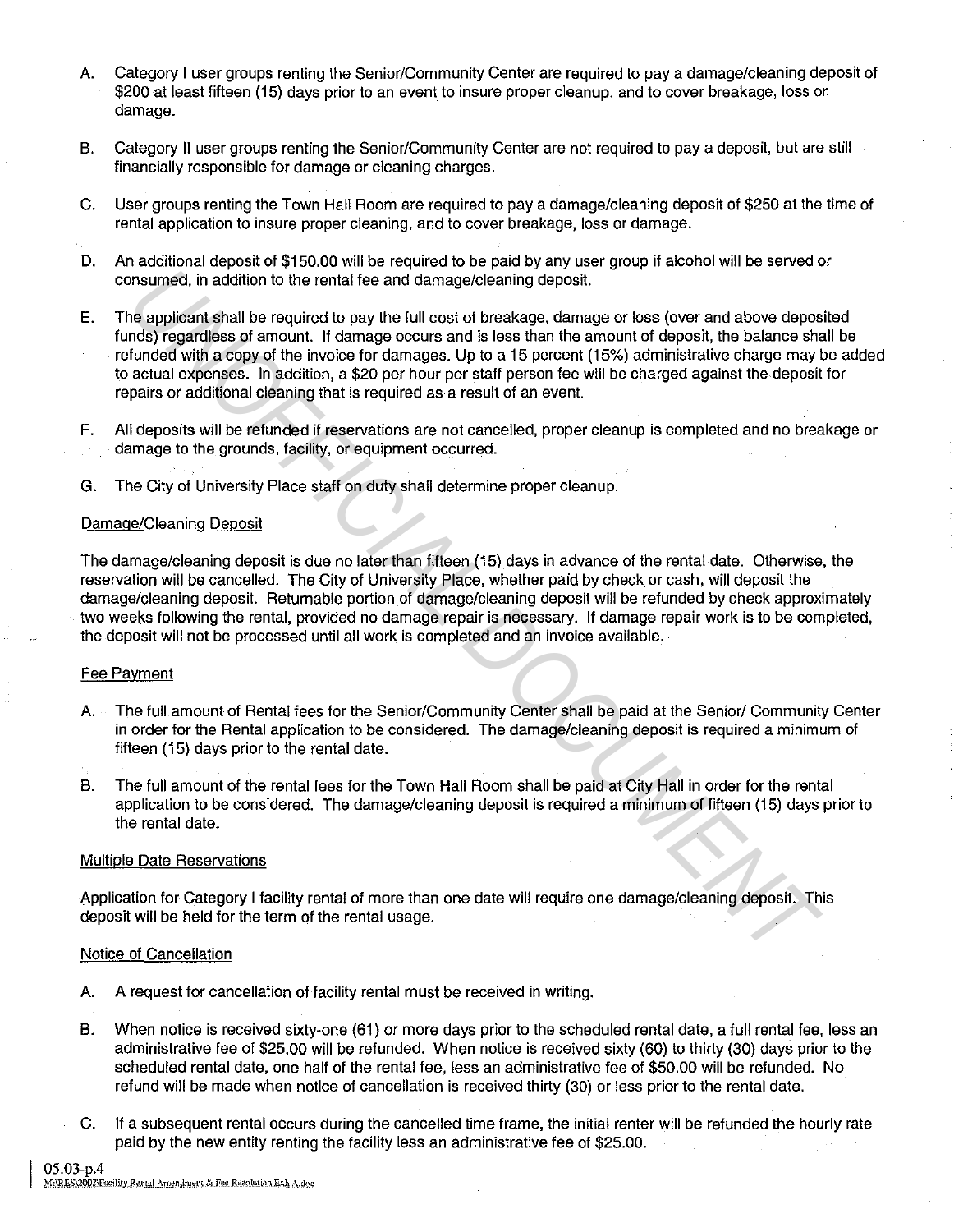- A. Category I user groups renting the Senior/Community Center are required to pay a damage/cleaning deposit of \$200 at least fifteen (15) days prior to an event to insure proper cleanup, and to cover breakage, loss or damage.
- B. Category II user groups renting the Senior/Community Center are not required to pay a deposit, but are still financially responsible for damage or cleaning charges.
- C. User groups renting the Town Hall Room are required to pay a damage/cleaning deposit of \$250 at the time of rental application to insure proper cleaning, and to cover breakage, loss or damage.
- D. An additional deposit of \$150.00 will be required to be paid by any user group if alcohol will be served or consumed, in addition to the rental fee and damage/cleaning deposit.
- E. The applicant shall be required to pay the full cost of breakage, damage or loss (over and above deposited funds) regardless of amount. If damage occurs and is less than the amount of deposit, the balance shall be refunded with a copy of the invoice for damages. Up to a 15 percent (15%) administrative charge may be added to actual expenses. In addition, a \$20 per hour per staff person fee will be charged against the deposit for repairs or additional cleaning that is required as a result of an event. **Drawing and the metallier of the particle and dramage/cleaning deposit.**<br>The applicant shall be required to pay the full cost of breakage, dramage for loss (over and above deposited as a remunit. If demange occurs and a b
- F. All deposits will be refunded if reservations are not cancelled, proper cleanup is completed and no breakage or damage to the grounds, facility, or equipment occurred.
- G. The City of University Place staff on duty shall determine proper cleanup.

### Damage/Cleaning Deposit

The damage/cleaning deposit is due no later than fifteen (15) days in advance of the rental date. Otherwise, the reservation will be cancelled. The City of University Place, whether paid by check or cash, will deposit the damage/cleaning deposit. Returnable portion of damage/cleaning deposit will be refunded by check approximately two weeks following the rental, provided no damage repair is necessary. If damage repair work is to be completed, the deposit will not be processed until all work is completed and an invoice available.

#### Fee Payment

- A. The full amount of Rental fees for the Senior/Community Center shall be paid at the Senior/ Community Center in order for the Rental application to be considered. The damage/cleaning deposit is required a minimum of fifteen (15) days prior to the rental date.
- B. The full amount of the rental fees for the Town Hall Room shall be paid at City Hall in order for the rental application to be considered. The damage/cleaning deposit is required a minimum of fifteen (15) days prior to the rental date.

#### Multiple Date Reservations

Application for Category I facility rental of more than one date will require one damage/cleaning deposit. This deposit will be held for the term of the rental usage.

### Notice of Cancellation

- A. A request for cancellation of facility rental must be received in writing.
- B. When notice is received sixty-one (61) or more days prior to the scheduled rental date, a full rental fee, less an administrative fee of \$25.00 will be refunded. When notice is received sixty (60) to thirty (30) days prior to the scheduled rental date, one half of the rental fee, less an administrative fee of \$50.00 will be refunded. No refund will be made when notice of cancellation is received thirty (30) or less prior to the rental date.
- C. If a subsequent rental occurs during the cancelled time frame, the initial renter will be refunded the hourly rate paid by the new entity renting the facility less an administrative fee of \$25.00.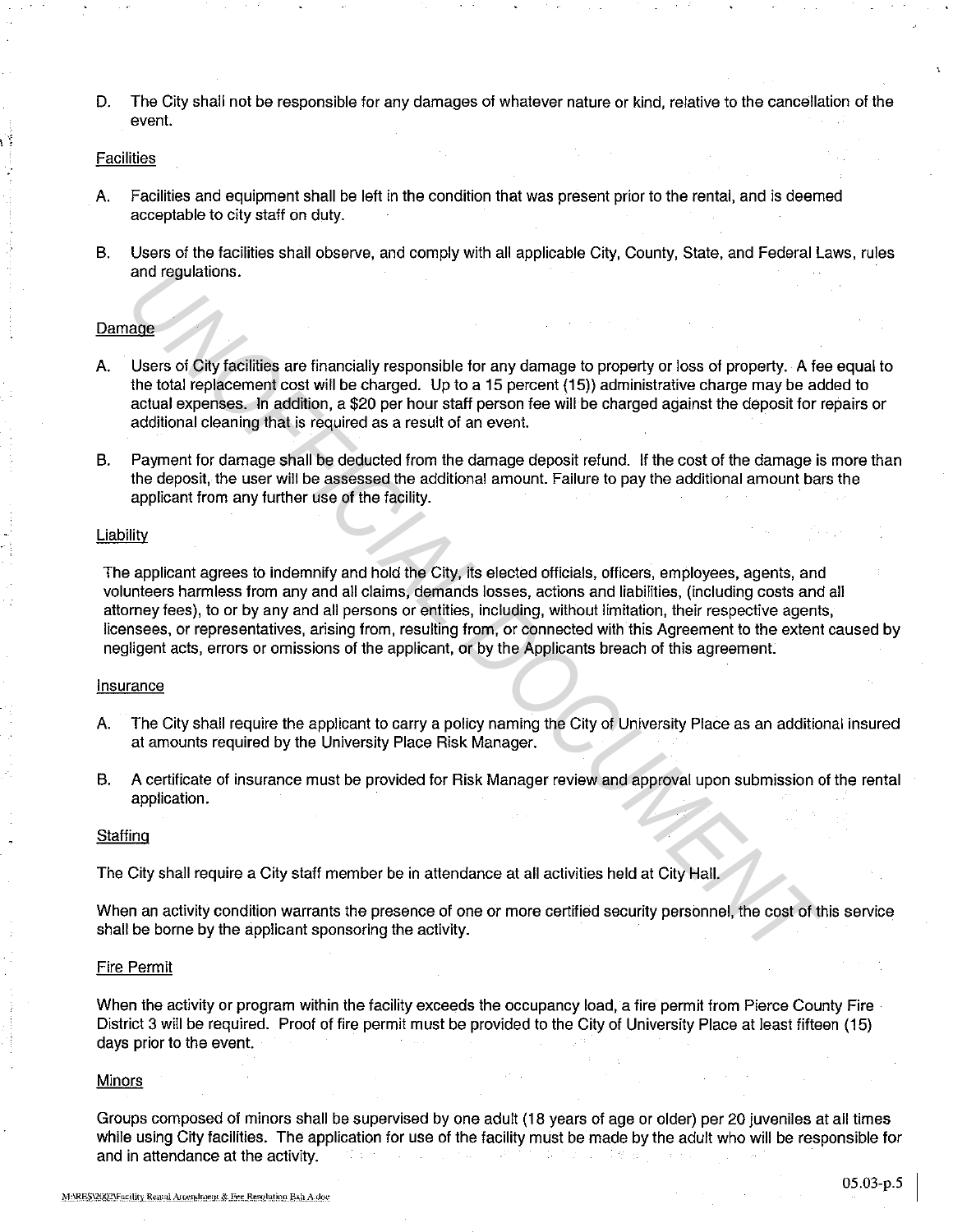D. The City shall not be responsible for any damages of whatever nature or kind, relative to the cancellation of the event.

#### Facilities

- A. Facilities and equipment shall be left in the condition that was present prior to the rental, and is deemed acceptable to city staff on duty.
- B. Users of the facilities shall observe, and comply with all applicable City, County, State, and Federal Laws, rules and regulations.

#### Damage

- A. Users of City facilities are financially responsible for any damage to property or loss of property. A fee equal to the total replacement cost will be charged. Up to a 15 percent (15)) administrative charge may be added to actual expenses. In addition, a \$20 per hour staff person fee will be charged against the deposit for repairs or additional cleaning that is required as a result of an event.
- B. Payment for damage shall be deducted from the damage deposit refund. If the cost of the damage is more than the deposit, the user will be assessed the additional amount. Failure to pay the additional amount bars the applicant from any further use of the facility.

#### Liability

The applicant agrees to indemnify and hold the City, its elected officials, officers, employees, agents, and volunteers harmless from any and all claims, demands losses, actions and liabilities, (including costs and all attorney fees), to or by any and all persons or entities, including, without limitation, their respective agents, licensees, or representatives, arising from, resulting from, or connected with this Agreement to the extent caused by negligent acts, errors or omissions of the applicant, or by the Applicants breach of this agreement. and regulations.<br> **Eases of City facilities** are financially responsible for any damage to property or loss of property. A facility the total reploment cost will be charged. Up to a 15 percent (15) administrative charge to

#### Insurance

- A. The City shall require the applicant to carry a policy naming the City of University Place as an additional insured at amounts required by the University Place Risk Manager.
- B. A certificate of insurance must be provided for Risk Manager review and approval upon submission of the rental application.

#### **Staffing**

The City shall require a City staff member be in attendance at all activities held at City Hall.

When an activity condition warrants the presence of one or more certified security personnel, the cost of this service shall be borne by the applicant sponsoring the activity.

#### Fire Permit

When the activity or program within the facility exceeds the occupancy load, a fire permit from Pierce County Fire District 3 will be required. Proof of fire permit must be provided to the City of University Place at least fifteen (15) days prior to the event.

#### Minors

Groups composed of minors shall be supervised by one adult (18 years of age or older) per 20 juveniles at all times while using City facilities. The application for use of the facility must be made by the adult who will be responsible for and in attendance at the activity.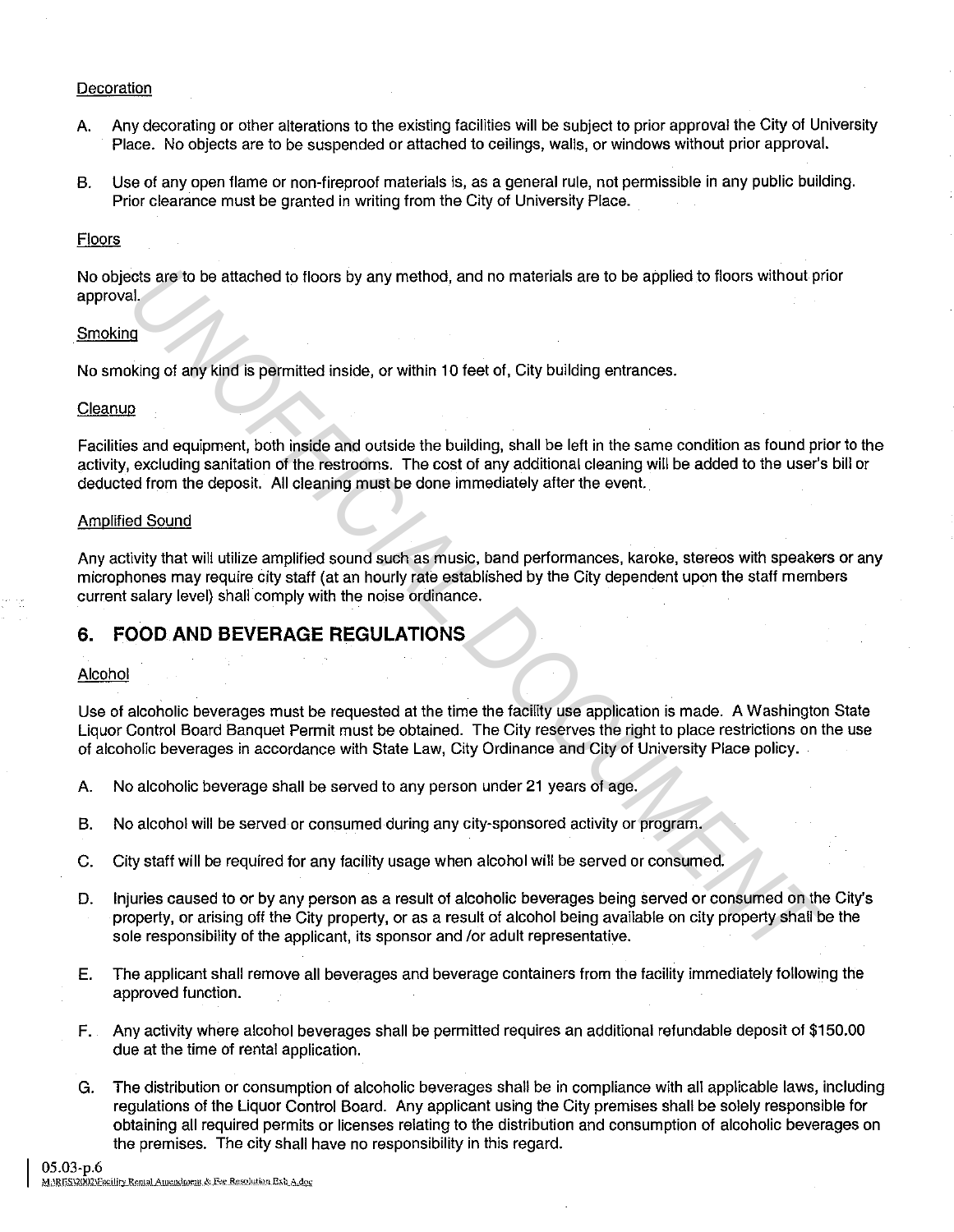## **Decoration**

- A. Any decorating or other alterations to the existing facilities will be subject to prior approval the City of University Place. No objects are to be suspended or attached to ceilings, walls, or windows without prior approval.
- B. Use of any open flame or non-fireproof materials is, as a general rule, not permissible in any public building. Prior clearance must be granted in writing from the City of University Place.

### Floors

No objects are to be attached to floors by any method, and no materials are to be applied to floors without prior approval.

### Smoking

No smoking of any kind is permitted inside, or within 10 feet of, City building entrances.

### **Cleanup**

Facilities and equipment, both inside and outside the building, shall be left in the same condition as found prior to the activity, excluding sanitation of the restrooms. The cost of any additional cleaning will be added to the user's bill or deducted from the deposit. All cleaning must be done immediately after the event. **Example 10** to be attached to floors by any method, and no materials are to be applied to floors without provided at the second of the second of the second of the second of the restricted inside and outside the building,

### Amplified Sound

Any activity that will utilize amplified sound such as music, band performances, karoke, stereos with speakers or any microphones may require city staff (at an hourly rate established by the City dependent upon the staff members current salary level) shall comply with the noise ordinance.

# **6. FOOD AND BEVERAGE REGULATIONS**

### Alcohol

Use of alcoholic beverages must be requested at the time the facility use application is made. A Washington State Liquor Control Board Banquet Permit must be obtained. The City reserves the right to place restrictions on the use of alcoholic beverages in accordance with State Law, City Ordinance and City of University Place policy.

- A. No alcoholic beverage shall be served to any person under 21 years of age.
- B. No alcohol will be served or consumed during any city-sponsored activity or program.
- C. City staff will be required for any facility usage when alcohol will be served or consumed.
- D. Injuries caused to or by any person as a result of alcoholic beverages being served or consumed on the City's property, or arising off the City property, or as a result of alcohol being available on city property shall be the sole responsibility of the applicant, its sponsor and /or adult representative.
- E. The applicant shall remove all beverages and beverage containers from the facility immediately following the approved function.
- F. Any activity where alcohol beverages shall be permitted requires an additional refundable deposit of \$150.00 due at the time of rental application.
- G. The distribution or consumption of alcoholic beverages shall be in compliance with all applicable laws, including regulations of the Liquor Control Board. Any applicant using the City premises shall be solely responsible for obtaining all required permits or licenses relating to the distribution and consumption of alcoholic beverages on the premises. The city shall have no responsibility in this regard.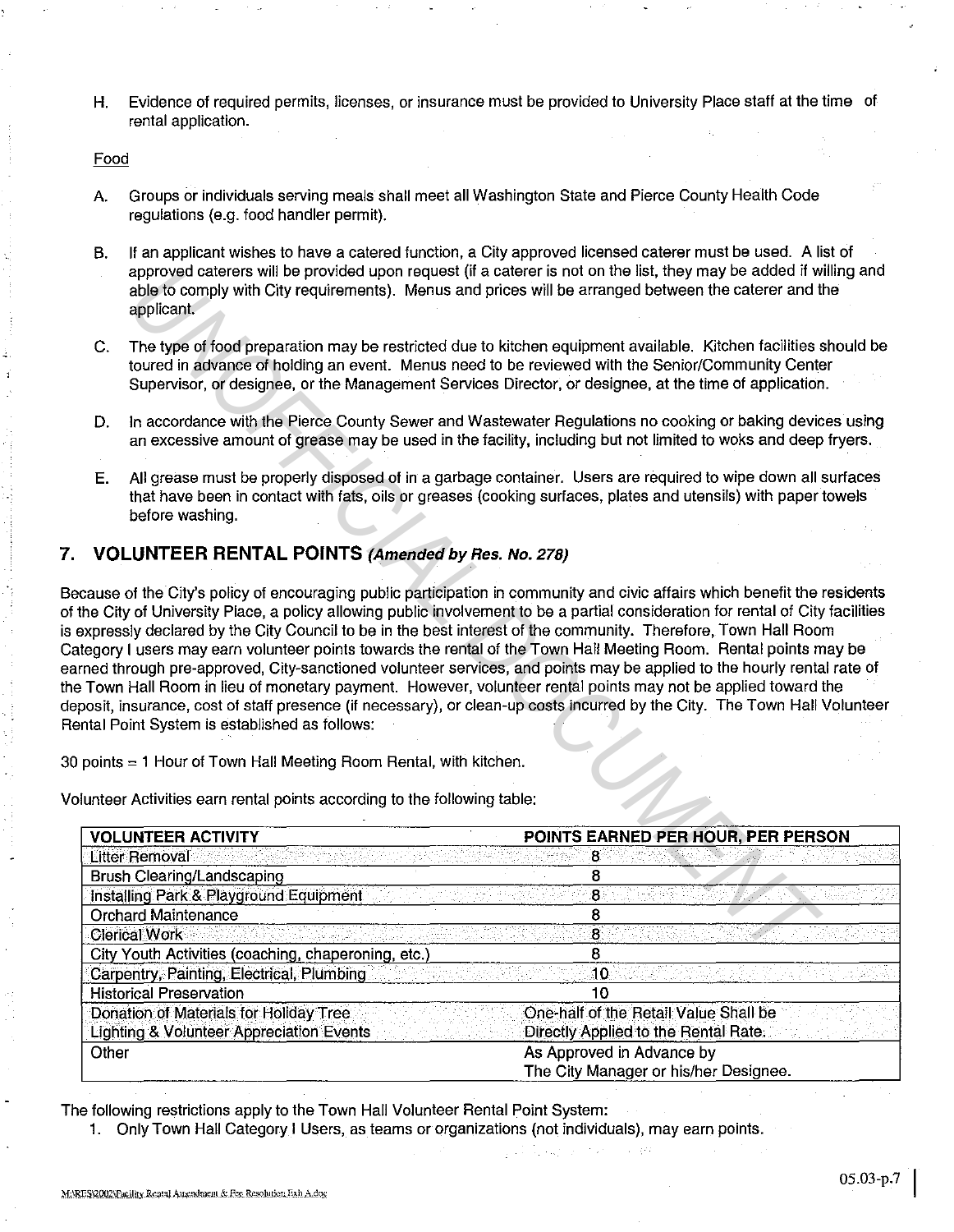H. Evidence of required permits, licenses, or insurance must be provided to University Place staff at the time of rental application.

#### Food

- A. Groups or individuals serving meals shall meet all Washington State and Pierce County Health Code regulations (e.g. food handler permit).
- B. If an applicant wishes to have a catered function, a City approved licensed caterer must be used. A list of approved caterers will be provided upon request {ii a caterer is not on the list, they may be added if willing and able to comply with City requirements). Menus and prices will be arranged between the caterer and the applicant.
- C. The type of food preparation may be restricted due to kitchen equipment available. Kitchen facilities should be toured in advance of holding an event. Menus need to be reviewed with the Senior/Community Center Supervisor, or designee, or the Management Services Director, or designee, at the time of application.
- D. In accordance with the Pierce County Sewer and Wastewater Regulations no cooking or baking devices using an excessive amount of grease may be used in the facility, including but not limited to woks and deep fryers.
- E. All grease must be properly disposed of in a garbage container. Users are required to wipe down all surfaces that have been in contact with fats, oils or greases (cooking surfaces, plates and utensils) with paper towels before washing.

## **7. VOLUNTEER RENTAL POINTS (Amended** *by* **Res. No.** 278)

Because of the City's policy of encouraging public participation in community and civic affairs which benefit the residents of the City of University Place, a policy allowing public involvement to be a partial consideration for rental of City facilities is expressly declared by the City Council to be in the best interest of the community. Therefore, Town Hall Room Category I users may earn volunteer points towards the rental of the Town Hall Meeting Room. Rental points may be earned through pre-approved, City-sanctioned volunteer services, and points may be applied to the hourly rental rate of the Town Hall Room in lieu of monetary payment. However, volunteer rental points may not be applied toward the deposit, insurance, cost of staff presence (if necessary), or clean-up costs incurred by the City. The Town Hall Volunteer Rental Point System is established as follows: approved caterers will be provided upon request (if a caterer is not on the list, they may be added it way the basis, they are added it way to a state in the sint of the sint of the sint of the control of the control of th

30 points = 1 Hour of Town Hall Meeting Room Rental, with kitchen.

Volunteer Activities earn rental points according to the following table:

| <b>VOLUNTEER ACTIVITY</b>                           | POINTS EARNED PER HOUR, PER PERSON    |
|-----------------------------------------------------|---------------------------------------|
| Litter Removal                                      |                                       |
| Brush Clearing/Landscaping                          |                                       |
| Installing Park & Playground Equipment              |                                       |
| <b>Orchard Maintenance</b>                          |                                       |
| <b>Clerical Work</b>                                | 8                                     |
| City Youth Activities (coaching, chaperoning, etc.) |                                       |
| Carpentry, Painting, Electrical, Plumbing           |                                       |
| <b>Historical Preservation</b>                      |                                       |
| Donation of Materials for Holiday Tree              | One-half of the Retail Value Shall be |
| <b>Lighting &amp; Volunteer Appreciation Events</b> | Directly Applied to the Rental Rate.  |
| Other                                               | As Approved in Advance by             |
|                                                     | The City Manager or his/her Designee. |

 $\sqrt{12.72}$ 

The following restrictions apply to the Town Hall Volunteer Rental Point System:

1. Only Town Hall Category I Users, as teams or organizations (not individuals), may earn points.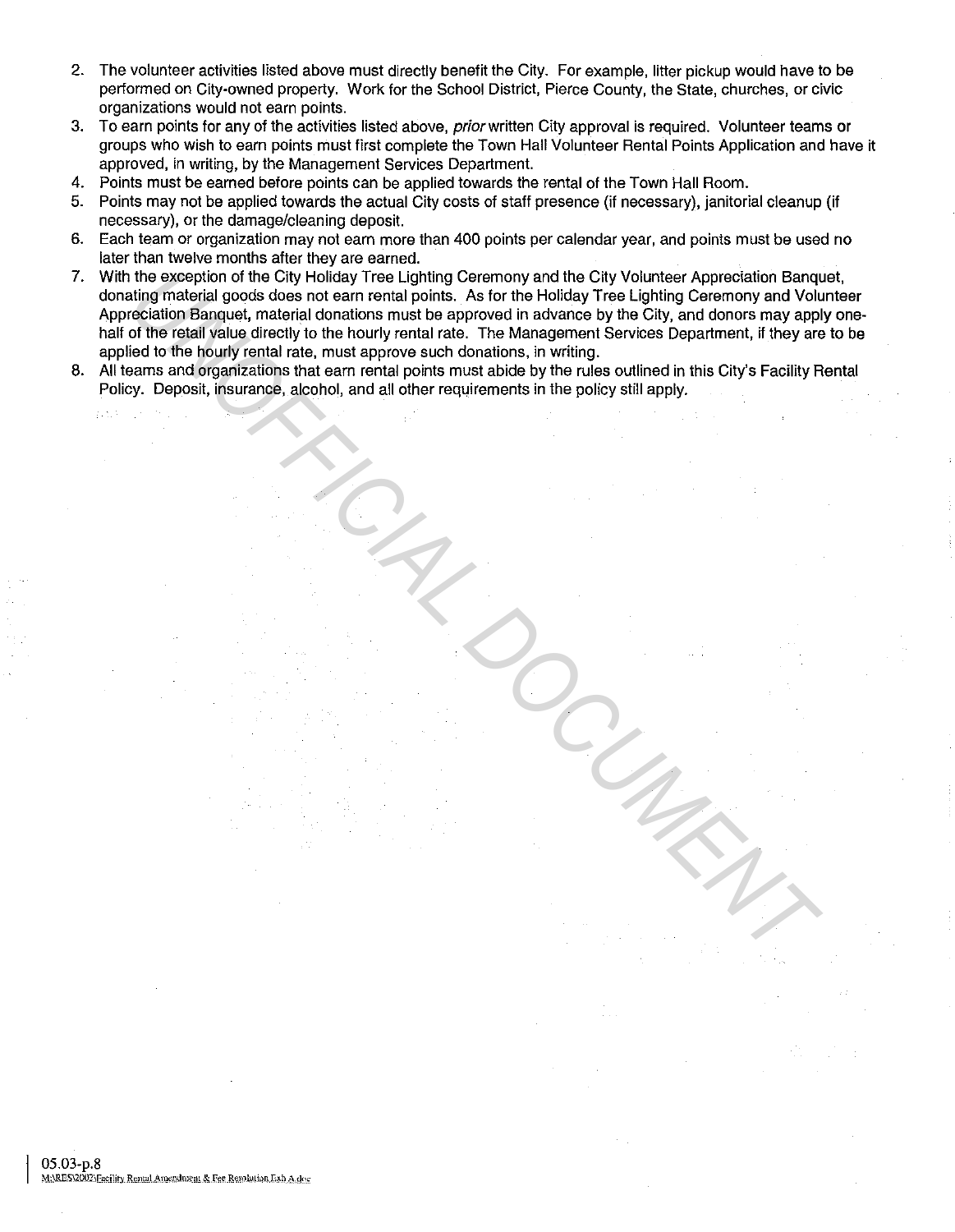- 2. The volunteer activities listed above must directly benefit the City. For example, litter pickup would have to be performed on City-owned property. Work for the School District, Pierce County, the State, churches, or civic organizations would not earn points.
- 3. To earn points for any of the activities listed above, prior written City approval is required. Volunteer teams or groups who wish to earn points must first complete the Town Hall Volunteer Rental Points Application and have it approved, in writing, by the Management Services Department.
- 4. Points must be earned before points can be applied towards the rental of the Town Hall Room.
- 5. Points may not be applied towards the actual City costs of staff presence (if necessary), janitorial cleanup (if necessary), or the damage/cleaning deposit.
- 6. Each team or organization may not earn more than 400 points per calendar year, and points must be used no later than twelve months after they are earned.
- 7. With the exception of the City Holiday Tree Lighting Ceremony and the City Volunteer Appreciation Banquet, donating material goods does not earn rental points. As for the Holiday Tree Lighting Ceremony and Volunteer Appreciation Banquet, material donations must be approved in advance by the City, and donors may apply onehalf of the retail value directly to the hourly rental rate. The Management Services Department, if they are to be applied to the hourly rental rate, must approve such donations, in writing. the exception of the City Holiday Tree Lighting Ceremony and the City Volunteer Approximation Barn the City of the relation of the container and points. As for the Holiday Tree Lighting Ceremony and You, and the optional D
- 8. All teams and organizations that earn rental points must abide by the rules outlined in this City's Facility Rental Policy. Deposit, insurance, alcohol, and all other requirements in the policy still apply.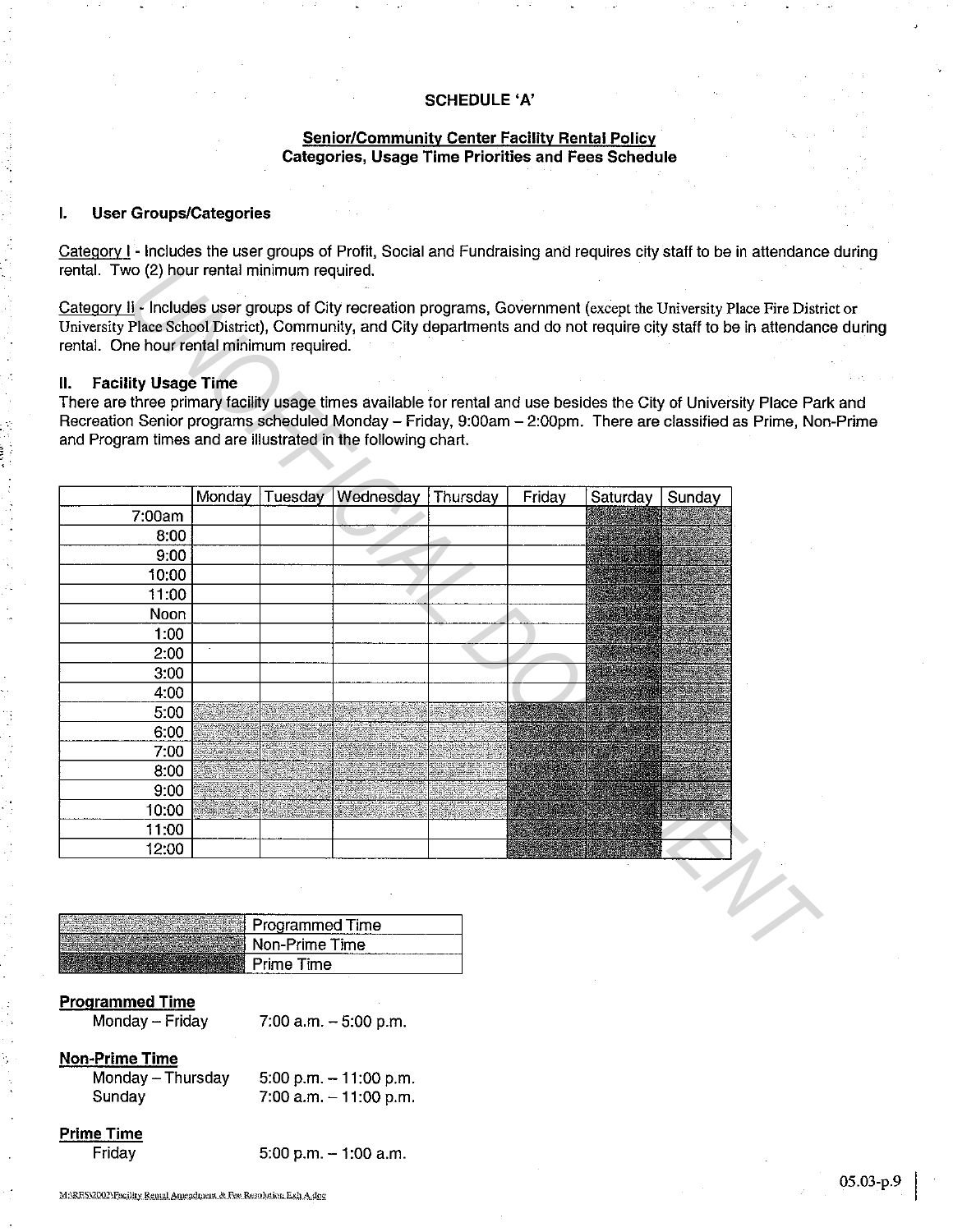## **SCHEDULE 'A'**

## **Senior/Community Center Facility Rental Policy Categories, Usage Time Priorities and Fees Schedule**

## **I. User Groups/Categories**

Category I - Includes the user groups of Profit, Social and Fundraising and requires city staff to be in attendance during rental. Two (2) hour rental minimum required.

Category II - Includes user groups of City recreation programs, Government (except the University Place Fire District or University Place School District), Community, and City departments and do not require city staff to be in attendance during rental. One hour rental minimum required.

### **II. Facility Usage Time**

 $\cdot$  :

There are three primary facility usage times available for rental and use besides the City of University Place Park and Recreation Senior programs scheduled Monday - Friday, 9:00am - 2:00pm. There are classified as Prime, Non-Prime and Program times and are illustrated in the following chart.

| <b>Facility Usage Time</b><br>II. I<br>There are three primary facility usage times available for rental and use besides the City of University Place Pa<br>Recreation Senior programs scheduled Monday - Friday, 9:00am - 2:00pm. There are classified as Prime, No<br>and Program times and are illustrated in the following chart. |        | rental. One hour rental minimum required. |           |          |        |          |        |  |
|---------------------------------------------------------------------------------------------------------------------------------------------------------------------------------------------------------------------------------------------------------------------------------------------------------------------------------------|--------|-------------------------------------------|-----------|----------|--------|----------|--------|--|
|                                                                                                                                                                                                                                                                                                                                       | Monday | Tuesday                                   | Wednesday | Thursday | Friday | Saturday | Sunday |  |
| 7:00am                                                                                                                                                                                                                                                                                                                                |        |                                           |           |          |        |          |        |  |
| 8:00                                                                                                                                                                                                                                                                                                                                  |        |                                           |           |          |        |          |        |  |
| 9:00                                                                                                                                                                                                                                                                                                                                  |        |                                           |           |          |        |          |        |  |
| 10:00                                                                                                                                                                                                                                                                                                                                 |        |                                           |           |          |        |          |        |  |
| 11:00                                                                                                                                                                                                                                                                                                                                 |        |                                           |           |          |        |          |        |  |
| Noon                                                                                                                                                                                                                                                                                                                                  |        |                                           |           |          |        |          |        |  |
| 1:00                                                                                                                                                                                                                                                                                                                                  |        |                                           |           |          |        |          |        |  |
| 2:00                                                                                                                                                                                                                                                                                                                                  |        |                                           |           |          |        |          |        |  |
| 3:00                                                                                                                                                                                                                                                                                                                                  |        |                                           |           |          |        |          |        |  |
| 4:00                                                                                                                                                                                                                                                                                                                                  |        |                                           |           |          |        |          |        |  |
| 5:00                                                                                                                                                                                                                                                                                                                                  |        |                                           |           |          |        |          |        |  |
| 6:00                                                                                                                                                                                                                                                                                                                                  |        |                                           |           |          |        |          |        |  |
| 7:00                                                                                                                                                                                                                                                                                                                                  |        |                                           |           |          |        |          |        |  |
| 8:00                                                                                                                                                                                                                                                                                                                                  |        |                                           |           |          |        |          |        |  |
| 9:00                                                                                                                                                                                                                                                                                                                                  |        |                                           |           |          |        |          |        |  |
| 10:00                                                                                                                                                                                                                                                                                                                                 |        |                                           |           |          |        |          |        |  |
| 11:00                                                                                                                                                                                                                                                                                                                                 |        |                                           |           |          |        |          |        |  |
| 12:00                                                                                                                                                                                                                                                                                                                                 |        |                                           |           |          |        |          |        |  |
|                                                                                                                                                                                                                                                                                                                                       |        |                                           |           |          |        |          |        |  |
|                                                                                                                                                                                                                                                                                                                                       |        | Programmed Time                           |           |          |        |          |        |  |

| Programmed Time |
|-----------------|
| Non-Prime Time  |
| Prime Time      |

#### **Programmed Time**

Monday- Friday

 $7:00$  a.m.  $-5:00$  p.m.

## **Non-Prime Time**

| Monday - Thursday | $5:00$ p.m. $-11:00$ p.m. |
|-------------------|---------------------------|
| Sunday            | 7:00 a.m. $-11:00$ p.m.   |

**Prime Time**  Friday

 $5:00$  p.m.  $-1:00$  a.m.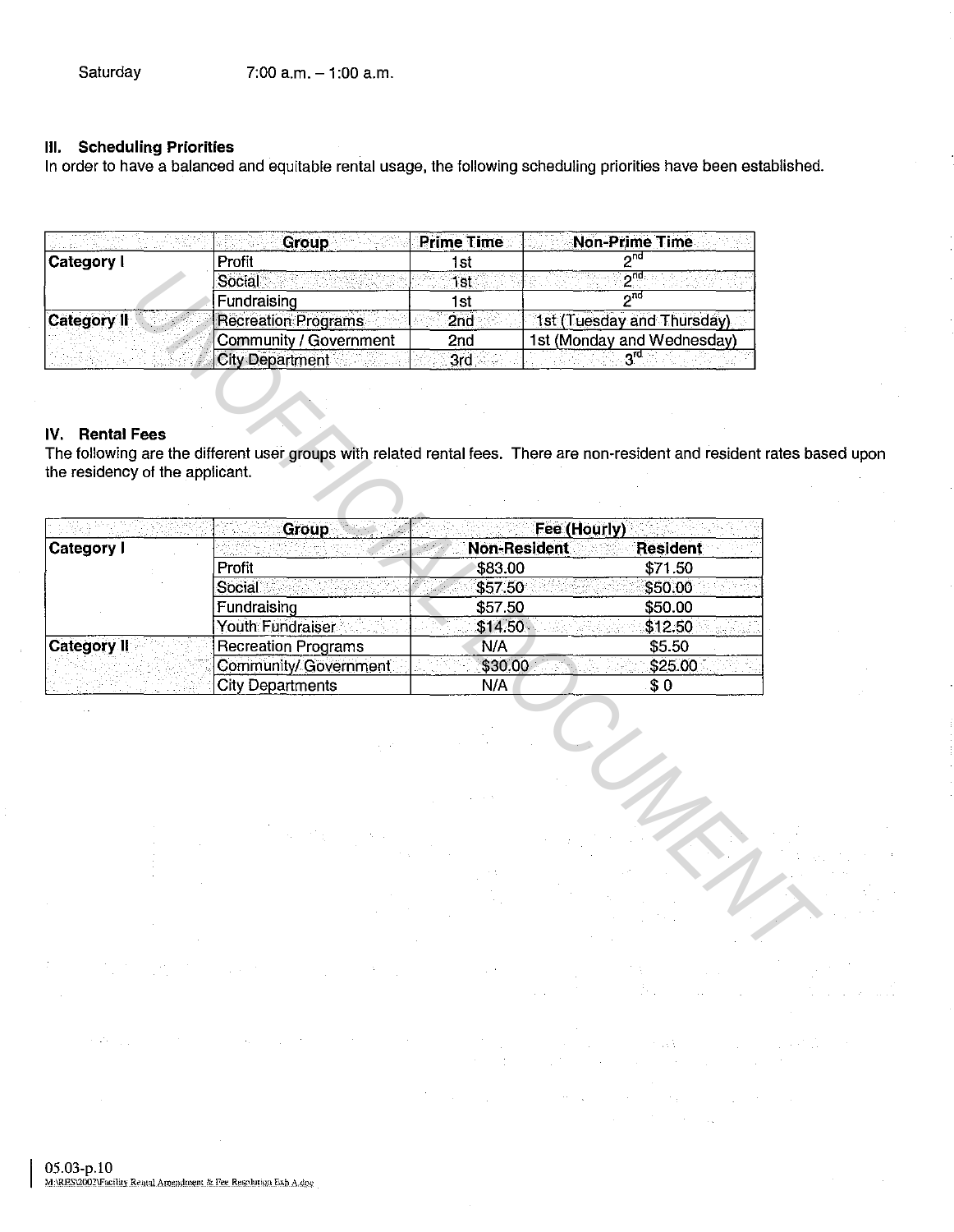## **Ill. Scheduling Priorities**

In order to have a balanced and equitable rental usage, the following scheduling priorities have been established.

|                    | <b>Group</b>               | <b>Prime Time</b> | <b>Non-Prime Time</b>      |
|--------------------|----------------------------|-------------------|----------------------------|
| Category I         | Profit                     |                   |                            |
|                    | Social                     | 1st               | ∽ua                        |
|                    | Fundraising                | l St              | ጣቢ                         |
| <b>Category II</b> | <b>Recreation Programs</b> | 2nd               | 1st (Tuesday and Thursday) |
|                    | Community / Government     | 2nd               | 1st (Monday and Wednesday) |
|                    | City Department            | 3rd               |                            |

## IV. **Rental Fees**

The following are the different user groups with related rental fees. There are non-resident and resident rates based upon the residency of the applicant.

|                                 | Social                       | 1st                 | $2^{nd}$                                                                                                           |
|---------------------------------|------------------------------|---------------------|--------------------------------------------------------------------------------------------------------------------|
|                                 | Fundraising                  | 1st                 | سو $\overline{2}$                                                                                                  |
| <b>Category II</b>              | <b>Recreation Programs</b>   | 2nd                 | 1st (Tuesday and Thursday)                                                                                         |
|                                 | Community / Government       | 2nd                 | 1st (Monday and Wednesday)                                                                                         |
|                                 | <b>City Department</b>       | 3rd                 |                                                                                                                    |
|                                 |                              |                     |                                                                                                                    |
|                                 |                              |                     |                                                                                                                    |
| <b>Rental Fees</b><br>IV.       |                              |                     |                                                                                                                    |
|                                 |                              |                     | The following are the different user groups with related rental fees. There are non-resident and resident rates ba |
| the residency of the applicant. |                              |                     |                                                                                                                    |
|                                 |                              |                     |                                                                                                                    |
|                                 | Group                        |                     | Fee (Hourly)                                                                                                       |
| Category I                      |                              | <b>Non-Resident</b> | Resident                                                                                                           |
|                                 | Profit                       | \$83.00             | \$71.50                                                                                                            |
|                                 | Social                       | \$57.50             | \$50.00                                                                                                            |
|                                 | Fundraising                  | \$57.50             | \$50.00                                                                                                            |
|                                 | <b>Youth Fundraiser</b>      | \$14.50             | \$12.50                                                                                                            |
| <b>Category II</b>              | <b>Recreation Programs</b>   | N/A                 | \$5.50                                                                                                             |
|                                 | <b>Community/ Government</b> | \$30.00             | \$25.00                                                                                                            |
|                                 | <b>City Departments</b>      | N/A                 | \$0                                                                                                                |
|                                 |                              |                     |                                                                                                                    |
|                                 |                              |                     |                                                                                                                    |
|                                 |                              |                     |                                                                                                                    |
|                                 |                              |                     |                                                                                                                    |
|                                 |                              |                     |                                                                                                                    |
|                                 |                              |                     |                                                                                                                    |
|                                 |                              |                     |                                                                                                                    |
|                                 |                              |                     |                                                                                                                    |
|                                 |                              |                     |                                                                                                                    |
|                                 |                              |                     |                                                                                                                    |
|                                 |                              |                     |                                                                                                                    |
|                                 |                              |                     |                                                                                                                    |
|                                 |                              |                     |                                                                                                                    |